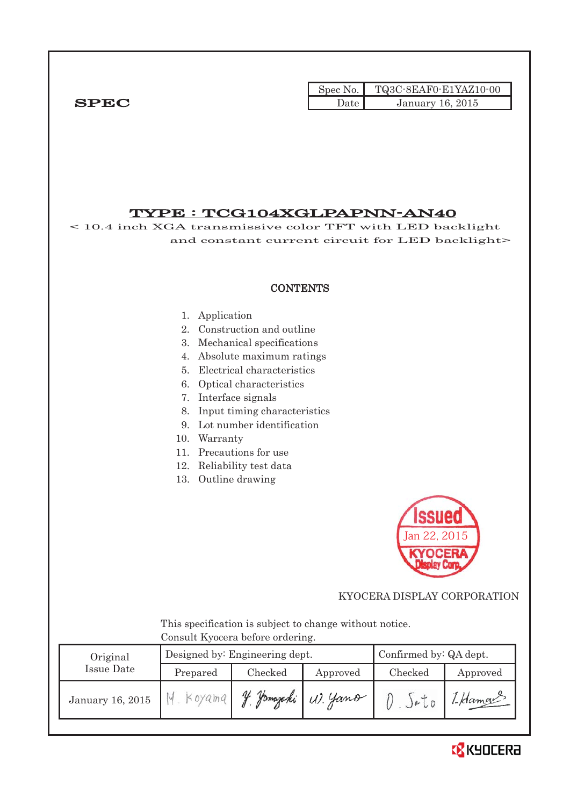|             |        | Spec No. $\vert$ TQ3C-8EAF0-E1YAZ10-00 |
|-------------|--------|----------------------------------------|
| <b>SPEC</b> | Jate ' | January 16, 2015                       |

# TYPE : TCG104XGLPAPNN-AN40

< 10.4 inch XGA transmissive color TFT with LED backlight and constant current circuit for LED backlight>

#### **CONTENTS**

#### 1. Application

- 2. Construction and outline
- 3. Mechanical specifications
- 4. Absolute maximum ratings
- 5. Electrical characteristics
- 6. Optical characteristics
- 7. Interface signals
- 8. Input timing characteristics
- 9. Lot number identification
- 10. Warranty
- 11. Precautions for use
- 12. Reliability test data
- 13. Outline drawing



## KYOCERA DISPLAY CORPORATION

 This specification is subject to change without notice. Consult Kyocera before ordering.

| Original               |  | Designed by: Engineering dept. | Confirmed by: QA dept. |                     |         |
|------------------------|--|--------------------------------|------------------------|---------------------|---------|
| Issue Date<br>Prepared |  | Checked<br>Approved            |                        | Checked<br>Approved |         |
| January 16, 2015       |  | Hamarak                        | W. Yano                |                     | 1-Hamou |

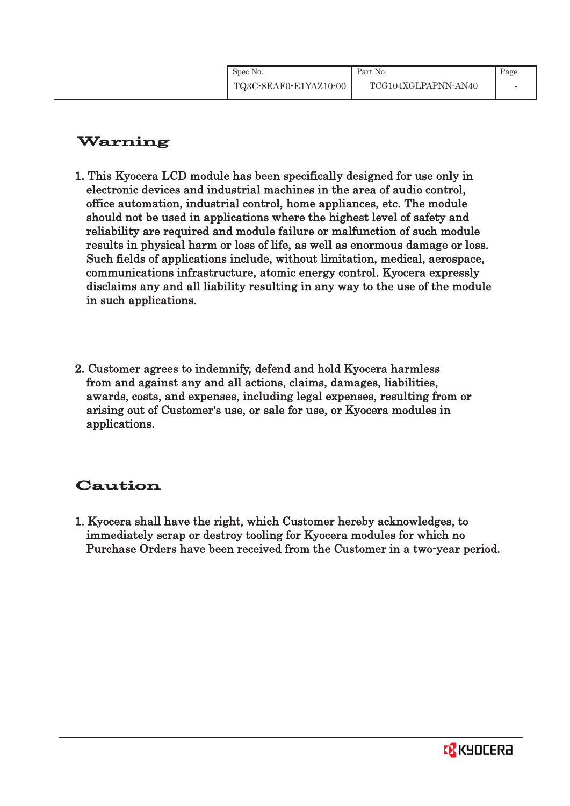| Spec No.              | Part No.            | Page |
|-----------------------|---------------------|------|
| TQ3C-8EAF0-E1YAZ10-00 | TCG104XGLPAPNN-AN40 |      |

# Warning

- 1. This Kyocera LCD module has been specifically designed for use only in electronic devices and industrial machines in the area of audio control, office automation, industrial control, home appliances, etc. The module should not be used in applications where the highest level of safety and reliability are required and module failure or malfunction of such module results in physical harm or loss of life, as well as enormous damage or loss. Such fields of applications include, without limitation, medical, aerospace, communications infrastructure, atomic energy control. Kyocera expressly disclaims any and all liability resulting in any way to the use of the module in such applications.
- 2. Customer agrees to indemnify, defend and hold Kyocera harmless from and against any and all actions, claims, damages, liabilities, awards, costs, and expenses, including legal expenses, resulting from or arising out of Customer's use, or sale for use, or Kyocera modules in applications.

# Caution

1. Kyocera shall have the right, which Customer hereby acknowledges, to immediately scrap or destroy tooling for Kyocera modules for which no Purchase Orders have been received from the Customer in a two-year period.

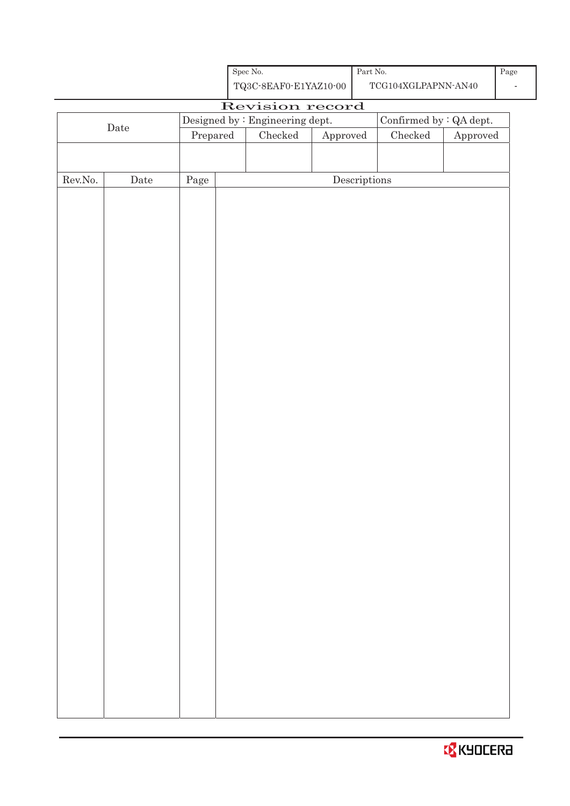| Spec No.              |
|-----------------------|
| TQ3C-8EAF0-E1YAZ10-00 |

# Revision record Date Designed by : Engineering dept. Confirmed by : QA dept.<br>Prepared Checked Approved Checked Approved Approved Rev.No. Date Page Page Descriptions

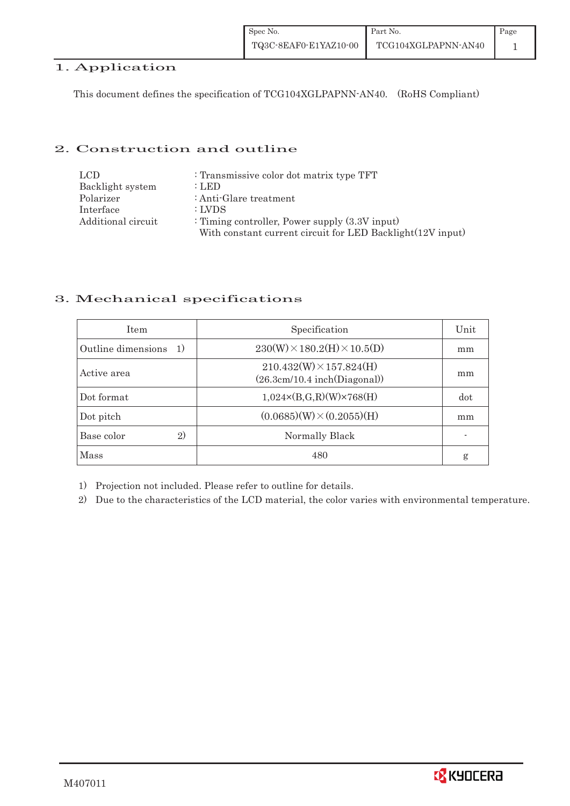| Spec No.              | Part No.            | Page |
|-----------------------|---------------------|------|
| TQ3C-8EAF0-E1YAZ10-00 | TCG104XGLPAPNN-AN40 |      |

# 1. Application

This document defines the specification of TCG104XGLPAPNN-AN40. (RoHS Compliant)

#### 2. Construction and outline

| LCD.               | : Transmissive color dot matrix type TFT                   |
|--------------------|------------------------------------------------------------|
| Backlight system   | : LED                                                      |
| Polarizer          | : Anti-Glare treatment                                     |
| Interface          | : LVDS                                                     |
| Additional circuit | : Timing controller, Power supply $(3.3V)$ input)          |
|                    | With constant current circuit for LED Backlight(12V input) |

#### 3. Mechanical specifications

| <b>Item</b>                         | Specification                                                       | Unit |
|-------------------------------------|---------------------------------------------------------------------|------|
| Outline dimensions<br><sup>1)</sup> | $230(W)\times 180.2(H)\times 10.5(D)$                               | mm   |
| Active area                         | $210.432(W) \times 157.824(H)$<br>$(26.3cm/10.4$ inch $(Diagonal))$ | mm   |
| Dot format                          | $1,024 \times (B,G,R)(W) \times 768(H)$                             | dot  |
| Dot pitch                           | $(0.0685)(W) \times (0.2055)(H)$                                    | mm   |
| Base color<br>2)                    | Normally Black                                                      |      |
| Mass                                | 480                                                                 | g    |

1) Projection not included. Please refer to outline for details.

2) Due to the characteristics of the LCD material, the color varies with environmental temperature.

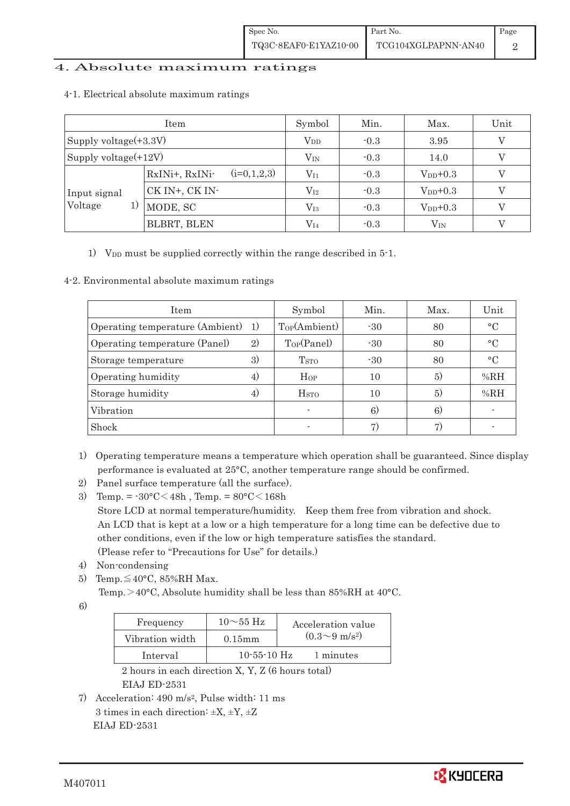#### 4. Absolute maximum ratings

| Item                    |                                 | Symbol       | Min.   | Max.          | Unit |
|-------------------------|---------------------------------|--------------|--------|---------------|------|
| Supply voltage(+3.3V)   |                                 | $V_{DD}$     | $-0.3$ | 3.95          |      |
| Supply voltage $(+12V)$ |                                 | $\rm V_{IN}$ | $-0.3$ | 14.0          |      |
|                         | $(i=0,1,2,3)$<br>RxINi+, RxINi- | $\rm V_{I1}$ | $-0.3$ | $V_{DD}$ +0.3 |      |
| Input signal            | CK IN+, CK IN-                  | $\rm V_{I2}$ | $-0.3$ | $V_{DD}$ +0.3 |      |
| Voltage<br>1)           | MODE, SC                        | $\rm V_{I3}$ | $-0.3$ | $V_{DD}+0.3$  |      |
|                         | BLBRT, BLEN                     | $\rm V_{I4}$ | $-0.3$ | $\rm V_{IN}$  |      |

#### 4-1.Electrical absolute maximum ratings

1) V<sub>DD</sub> must be supplied correctly within the range described in 5-1.

#### 4-2. Environmental absolute maximum ratings

| Item                               |    | Symbol                   | Min.  | Max. | Unit            |
|------------------------------------|----|--------------------------|-------|------|-----------------|
| Operating temperature (Ambient) 1) |    | Top(Ambient)             | $-30$ | 80   | $\circ$ C       |
| Operating temperature (Panel)      | 2) | Top(Panel)               | $-30$ | 80   | $\circ$ C       |
| Storage temperature                | 3) | <b>T</b> <sub>STO</sub>  | $-30$ | 80   | $\rm ^{\circ}C$ |
| Operating humidity                 | 4) | $H_{OP}$                 | 10    | (5)  | %RH             |
| Storage humidity                   | 4) | H <sub>STO</sub>         | 10    | 5)   | %RH             |
| Vibration                          |    | $\overline{\phantom{a}}$ | 6)    | 6)   |                 |
| Shock                              |    |                          | 7)    |      |                 |

- 1) Operating temperature means a temperature which operation shall be guaranteed. Since display performance is evaluated at 25°C, another temperature range should be confirmed.
- 2) Panel surface temperature (all the surface).
- 3) Temp. =  $-30^{\circ}$ C $<$ 48h, Temp. =  $80^{\circ}$ C $<$ 168h Store LCD at normal temperature/humidity. Keep them free from vibration and shock. An LCD that is kept at a low or a high temperature for a long time can be defective due to other conditions, even if the low or high temperature satisfies the standard. (Please refer to "Precautions for Use" for details.)
- 4) Non-condensing
- 5) Temp. $\leq 40^{\circ}$ C, 85%RH Max.

Temp.  $>$  40°C, Absolute humidity shall be less than 85%RH at 40°C.

6)

| Frequency       | $10\sim 55$ Hz    | Acceleration value           |
|-----------------|-------------------|------------------------------|
| Vibration width | $0.15$ mm         | $(0.3 \sim 9 \text{ m/s}^2)$ |
| Interval        | $10 - 55 - 10$ Hz | 1 minutes                    |

 2 hours in each direction X, Y, Z (6 hours total) EIAJ ED-2531

7) Acceleration: 490 m/s2, Pulse width: 11 ms 3 times in each direction:  $\pm X$ ,  $\pm Y$ ,  $\pm Z$ EIAJ ED-2531

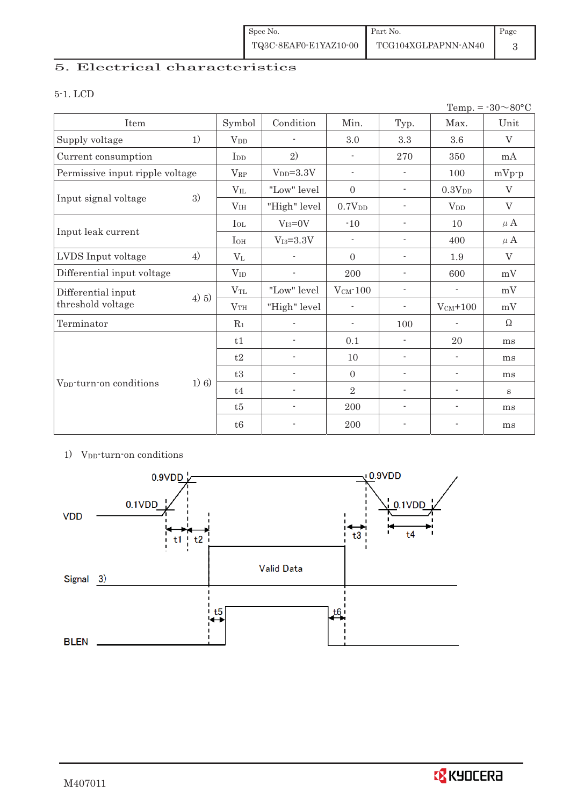| Spec No.              | Part No.            | Page |
|-----------------------|---------------------|------|
| TQ3C-8EAF0-E1YAZ10-00 | TCG104XGLPAPNN-AN40 |      |

# 5. Electrical characteristics

#### 5-1. LCD

|                                     |         |                 |                          |                          |                          |                          | Temp. = $-30 \sim 80$ °C |
|-------------------------------------|---------|-----------------|--------------------------|--------------------------|--------------------------|--------------------------|--------------------------|
| Item                                |         | Symbol          | Condition                | Min.                     | Typ.                     | Max.                     | Unit                     |
| Supply voltage                      | 1)      | V <sub>DD</sub> | $\overline{\phantom{a}}$ | 3.0                      | 3.3                      | $3.6\,$                  | $\rm V$                  |
| Current consumption                 |         | I <sub>DD</sub> | 2)                       | $\overline{\phantom{a}}$ | 270                      | 350                      | mA                       |
| Permissive input ripple voltage     |         | $V_{RP}$        | $VDD=3.3V$               | $\overline{\phantom{a}}$ | $\overline{\phantom{a}}$ | 100                      | $mVp-p$                  |
|                                     |         | $V_{IL}$        | "Low" level              | $\theta$                 | $\overline{\phantom{a}}$ | 0.3V <sub>DD</sub>       | $\mathbf{V}$             |
| Input signal voltage                | 3)      | V <sub>IH</sub> | "High" level             | 0.7V <sub>DD</sub>       | $\overline{a}$           | $V_{DD}$                 | $\rm V$                  |
|                                     |         | $I_{OL}$        | $V_{I3}=0V$              | $-10$                    | $\overline{\phantom{a}}$ | 10                       | $\mu$ A                  |
| Input leak current                  |         | $I_{OH}$        | $V_{I3}=3.3V$            | $\overline{\phantom{a}}$ | $\blacksquare$           | 400                      | $\mu$ A                  |
| LVDS Input voltage                  | 4)      | $V_{L}$         |                          | $\Omega$                 | $\overline{\phantom{a}}$ | 1.9                      | V                        |
| Differential input voltage          |         | $V_{ID}$        | $\blacksquare$           | 200                      | $\overline{\phantom{a}}$ | 600                      | mV                       |
| Differential input                  | 4) 5)   | $\rm V_{TL}$    | "Low" level              | $V_{CM}$ -100            | $\overline{\phantom{a}}$ | $\overline{\phantom{a}}$ | mV                       |
| threshold voltage                   |         | V <sub>TH</sub> | "High" level             | $\overline{\phantom{0}}$ | $\overline{a}$           | $V_{CM}$ +100            | mV                       |
| Terminator                          |         | $R_1$           |                          | $\overline{\phantom{a}}$ | 100                      | $\overline{\phantom{a}}$ | $\Omega$                 |
|                                     |         | t1              | $\overline{a}$           | 0.1                      |                          | 20                       | ms                       |
|                                     |         | t2              | $\blacksquare$           | 10                       | $\overline{\phantom{a}}$ | $\overline{\phantom{a}}$ | ms                       |
|                                     |         | t3              | $\overline{a}$           | $\mathbf{0}$             |                          | $\overline{\phantom{a}}$ | ms                       |
| V <sub>DD</sub> -turn-on conditions | $1)$ 6) | t4              | $\overline{\phantom{a}}$ | $\sqrt{2}$               | $\overline{\phantom{a}}$ | ÷                        | S                        |
|                                     |         | t5              | $\overline{\phantom{a}}$ | 200                      | $\overline{\phantom{a}}$ | $\overline{\phantom{a}}$ | ms                       |
|                                     |         | t6              | $\overline{\phantom{a}}$ | 200                      | $\overline{\phantom{a}}$ | $\overline{a}$           | ms                       |

## 1) V<sub>DD</sub>-turn-on conditions

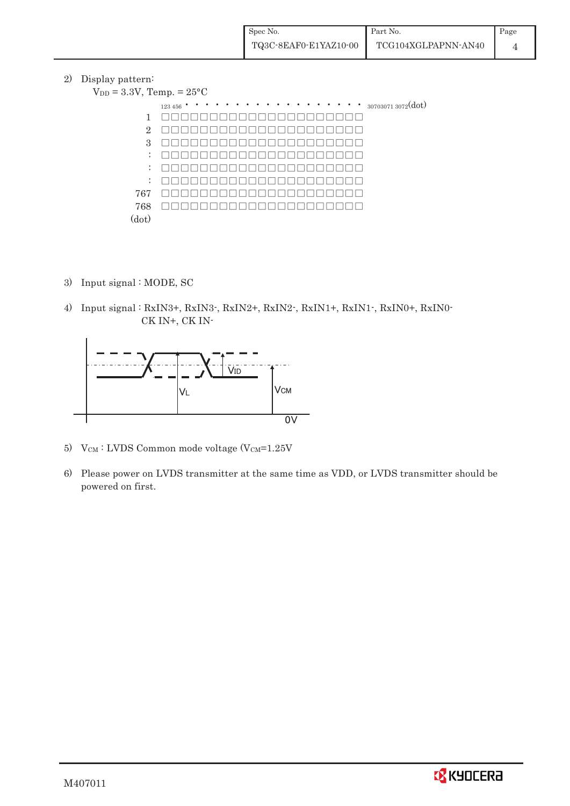2) Display pattern:

| $V_{DD} = 3.3V$ , Temp. = $25^{\circ}$ C |                                                 |
|------------------------------------------|-------------------------------------------------|
|                                          | $\cdots$ $\cdots$ 30703071 3072(dot)<br>123 456 |
| 1                                        |                                                 |
| $\overline{2}$                           |                                                 |
| 3                                        |                                                 |
| $\mathbb{Z}^{\mathbb{Z}}$                |                                                 |
| $\ddot{\phantom{a}}$                     |                                                 |
| ÷                                        |                                                 |
| 767                                      |                                                 |
| 768                                      |                                                 |
| (dot)                                    |                                                 |

- 3) Input signal : MODE, SC
- 4) Input signal : RxIN3+, RxIN3-, RxIN2+, RxIN2-, RxIN1+, RxIN1-, RxIN0+, RxIN0- CK IN+, CK IN-



- 5) VCM : LVDS Common mode voltage (VCM=1.25V
- 6) Please power on LVDS transmitter at the same time as VDD, or LVDS transmitter should be powered on first.

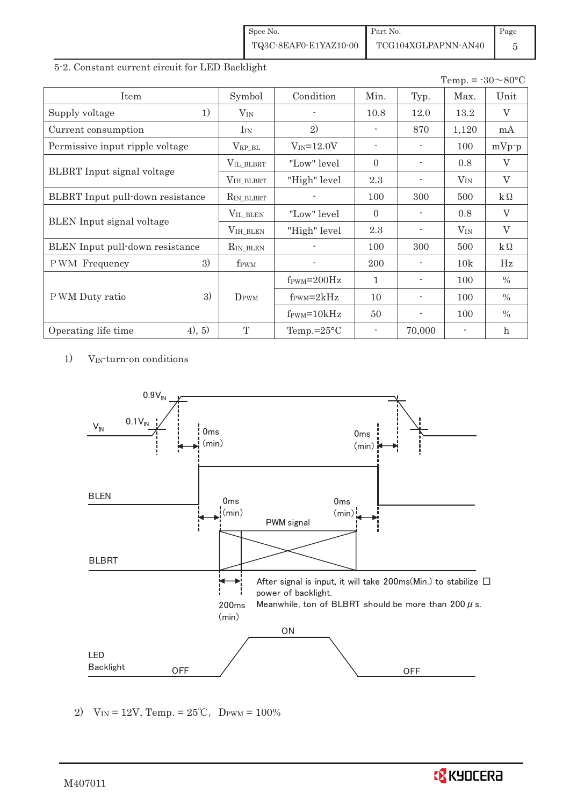| Spec No.              | Part No.            | Page |
|-----------------------|---------------------|------|
| TQ3C-8EAF0-E1YAZ10-00 | TCG104XGLPAPNN-AN40 |      |

#### 5-2. Constant current circuit for LED Backlight

|                                   |                  |                               |                          |                          | Temp. = $-30 \sim 80$ °C |                           |
|-----------------------------------|------------------|-------------------------------|--------------------------|--------------------------|--------------------------|---------------------------|
| Item                              | Symbol           | Condition                     | Min.                     | Typ.                     | Max.                     | Unit                      |
| 1)<br>Supply voltage              | $V_{IN}$         |                               | 10.8                     | 12.0                     | 13.2                     | V                         |
| Current consumption               | $I_{IN}$         | 2)                            |                          | 870                      | 1,120                    | mA                        |
| Permissive input ripple voltage   | $V_{RP\_BL}$     | $V_{IN} = 12.0V$              | $\sim$                   | $\overline{\phantom{a}}$ | 100                      | $mVp-p$                   |
|                                   | VIL_BLBRT        | "Low" level                   | $\Omega$                 |                          | 0.8                      | V                         |
| <b>BLBRT</b> Input signal voltage | VIH_BLBRT        | "High" level                  | 2.3                      |                          | $V_{IN}$                 | $\overline{V}$            |
| BLBRT Input pull-down resistance  | $R_{IN_BLEBRT}$  |                               | 100                      | 300                      | 500                      | $k\Omega$                 |
|                                   | VIL_BLEN         | "Low" level"                  | $\Omega$                 |                          | 0.8                      | V                         |
| <b>BLEN</b> Input signal voltage  | VIH_BLEN         | "High" level                  | 2.3                      |                          | $V_{\rm IN}$             | $\rm V$                   |
| BLEN Input pull-down resistance   | $R_{IN\_BLEN}$   |                               | 100                      | 300                      | 500                      | $k\Omega$                 |
| 3)<br>PWM Frequency               | f <sub>PWM</sub> |                               | 200                      |                          | 10k                      | Hz                        |
|                                   |                  | $f_{\text{PWM}}=200\text{Hz}$ | 1                        |                          | 100                      | $\%$                      |
| 3)<br>P WM Duty ratio             | DPWM             | $f_{\text{PWM}}=2kHz$         | 10                       |                          | 100                      | $\%$                      |
|                                   |                  | $f_{\text{PWM}} = 10kHz$      | 50                       | $\overline{\phantom{0}}$ | 100                      | $\%$                      |
| (4), 5)<br>Operating life time    | T                | Temp.= $25^{\circ}$ C         | $\overline{\phantom{a}}$ | 70,000                   |                          | $\boldsymbol{\mathrm{h}}$ |

1) VIN-turn-on conditions



2)  $V_{IN} = 12V$ , Temp. =  $25^{\circ}C$ , D<sub>PWM</sub> =  $100\%$ 

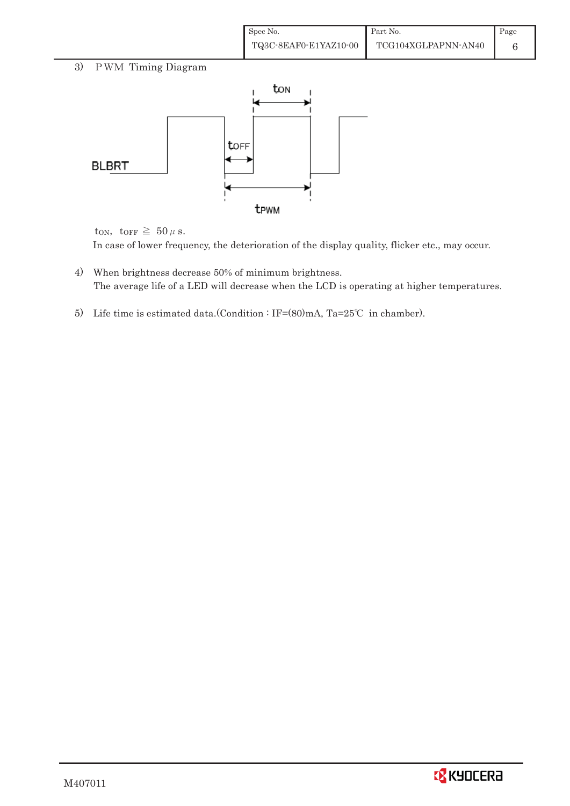| Spec No.              | Part No.            | Page |
|-----------------------|---------------------|------|
| TQ3C-8EAF0-E1YAZ10-00 | TCG104XGLPAPNN-AN40 |      |

# 3) PWM Timing Diagram



ton, torr  $\geq 50 \,\mu$  s. In case of lower frequency, the deterioration of the display quality, flicker etc., may occur.

- 4) When brightness decrease 50% of minimum brightness. The average life of a LED will decrease when the LCD is operating at higher temperatures.
- 5) Life time is estimated data.(Condition : IF= $(80)$ mA, Ta=25°C in chamber).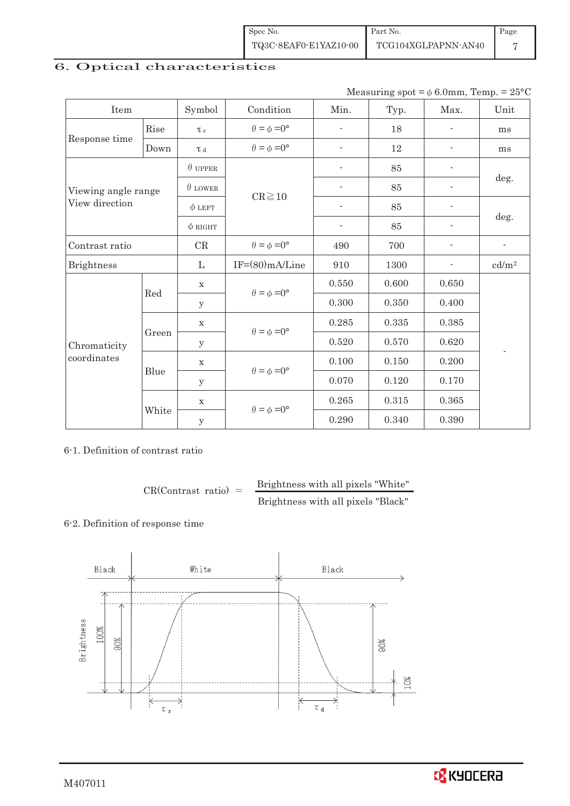| Spec No.              | Part No.            | Page |
|-----------------------|---------------------|------|
| TQ3C-8EAF0-E1YAZ10-00 | TCG104XGLPAPNN-AN40 |      |

# 6. Optical characteristics

Measuring  $spot = \phi 6.0$ mm, Temp. = 25°C

| Item                |              | Symbol         | Condition                   | Min.                        | Typ.  | Max.                     | Unit                     |  |
|---------------------|--------------|----------------|-----------------------------|-----------------------------|-------|--------------------------|--------------------------|--|
|                     | Rise         | $\tau_r$       | $\theta = \phi = 0^{\circ}$ | ٠                           | 18    |                          | ms                       |  |
| Response time       | Down         | L <sub>d</sub> | $\theta = \phi = 0^{\circ}$ | $\overline{\phantom{a}}$    | 12    | $\overline{\phantom{a}}$ | ms                       |  |
|                     |              | $\theta$ upper |                             | $\overline{\phantom{0}}$    | 85    | $\overline{\phantom{0}}$ |                          |  |
| Viewing angle range |              | $\theta$ LOWER | $CR \ge 10$                 | $\overline{\phantom{0}}$    | 85    | $\overline{\phantom{0}}$ | deg.                     |  |
| View direction      |              | $\phi$ LEFT    |                             | $\overline{\phantom{a}}$    | 85    | $\overline{\phantom{a}}$ | deg.                     |  |
|                     |              | $\phi$ RIGHT   |                             | $\blacksquare$              | 85    | $\overline{\phantom{0}}$ |                          |  |
| Contrast ratio      |              | CR             | $\theta = \phi = 0^{\circ}$ | 490                         | 700   |                          | $\overline{\phantom{a}}$ |  |
| <b>Brightness</b>   |              | $\mathbf{L}$   | $IF=(80)mA/Line$            | 910                         | 1300  | ۰                        | cd/m <sup>2</sup>        |  |
|                     | Red<br>Green | X              | $\theta = \phi = 0^{\circ}$ | 0.550                       | 0.600 | 0.650                    |                          |  |
|                     |              | У              |                             | 0.300                       | 0.350 | 0.400                    |                          |  |
|                     |              | $\mathbf X$    |                             | 0.285                       | 0.335 | 0.385                    |                          |  |
| Chromaticity        |              | У              | $\theta = \phi = 0^{\circ}$ | 0.520                       | 0.570 | 0.620                    |                          |  |
| coordinates         |              | $\mathbf X$    |                             | 0.100                       | 0.150 | 0.200                    | $\overline{\phantom{a}}$ |  |
|                     | Blue         | y              | $\theta = \phi = 0^{\circ}$ | 0.070                       | 0.120 | 0.170                    |                          |  |
|                     |              | X              |                             | 0.265                       | 0.315 | 0.365                    |                          |  |
|                     | White        | y              |                             | $\theta = \phi = 0^{\circ}$ | 0.290 | 0.340                    | 0.390                    |  |

#### 6-1. Definition of contrast ratio

 $CR(Contrast ratio) =$  Brightness with all pixels "White" Brightness with all pixels "Black"

#### 6-2. Definition of response time



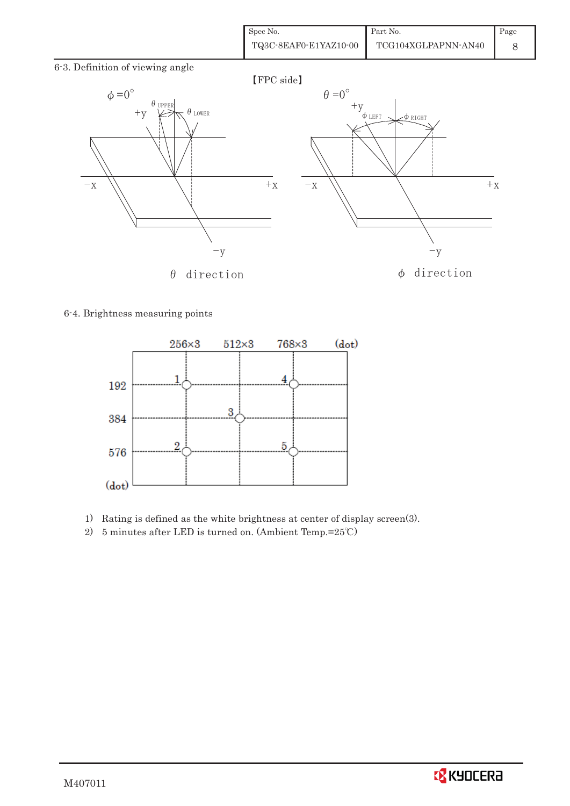| Spec No.              | Part No.            | Page |
|-----------------------|---------------------|------|
| TQ3C-8EAF0-E1YAZ10-00 | TCG104XGLPAPNN-AN40 |      |

6-3. Definition of viewing angle



#### 6-4. Brightness measuring points



- 1) Rating is defined as the white brightness at center of display screen(3).
- 2) 5 minutes after LED is turned on. (Ambient Temp.= $25^{\circ}$ C)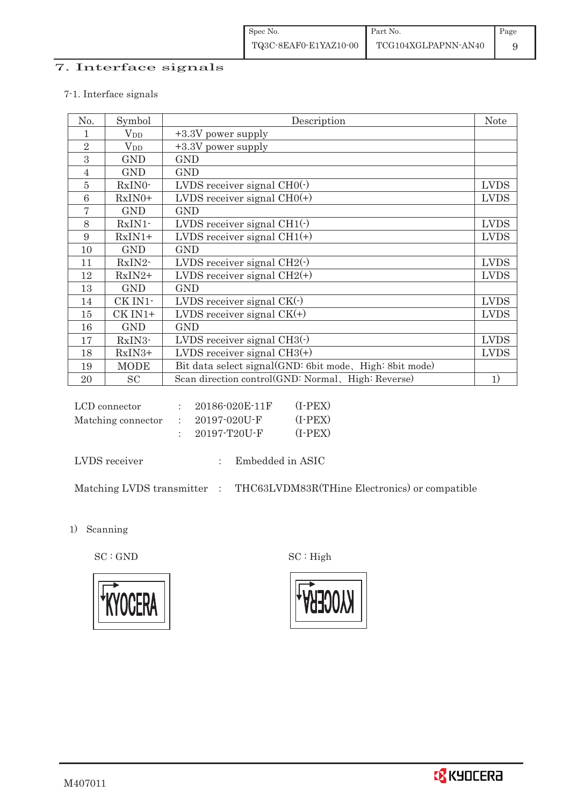## 7. Interface signals

#### 7-1. Interface signals

| No.            | Symbol       | Description                                             | <b>Note</b> |
|----------------|--------------|---------------------------------------------------------|-------------|
|                | $\rm V_{DD}$ | +3.3V power supply                                      |             |
| $\overline{2}$ | $V_{DD}$     | +3.3V power supply                                      |             |
| 3              | <b>GND</b>   | <b>GND</b>                                              |             |
| 4              | <b>GND</b>   | <b>GND</b>                                              |             |
| 5              | RxIN0-       | LVDS receiver signal $CHO(·)$                           | <b>LVDS</b> |
| 6              | $RxIN0+$     | LVDS receiver signal $CHO(+)$                           | <b>LVDS</b> |
| 7              | <b>GND</b>   | <b>GND</b>                                              |             |
| 8              | $RxIN1$ -    | LVDS receiver signal $CH1(\cdot)$                       | <b>LVDS</b> |
| 9              | $RxIN1+$     | LVDS receiver signal $CH1(+)$                           | <b>LVDS</b> |
| 10             | <b>GND</b>   | <b>GND</b>                                              |             |
| 11             | RxIN2-       | LVDS receiver signal $CH2(\cdot)$                       | <b>LVDS</b> |
| 12             | $RxIN2+$     | LVDS receiver signal $CH2(+)$                           | <b>LVDS</b> |
| 13             | <b>GND</b>   | <b>GND</b>                                              |             |
| 14             | CK IN1-      | LVDS receiver signal $CK(\cdot)$                        | <b>LVDS</b> |
| 15             | CK IN1+      | LVDS receiver signal $CK(+)$                            | <b>LVDS</b> |
| 16             | <b>GND</b>   | <b>GND</b>                                              |             |
| 17             | RxIN3-       | LVDS receiver signal $CH3()$                            | <b>LVDS</b> |
| 18             | RxIN3+       | LVDS receiver signal $CH3(+)$                           | <b>LVDS</b> |
| 19             | <b>MODE</b>  | Bit data select signal(GND: 6bit mode, High: 8bit mode) |             |
| 20             | <b>SC</b>    | Scan direction control(GND: Normal, High: Reverse)      | 1)          |

| LCD connector      | 20186-020E-11F | $(I-PEX)$ |
|--------------------|----------------|-----------|
| Matching connector | - 20197-020U-F | $(I-PEX)$ |
|                    | 20197-T20U-F   | $(I-PEX)$ |

LVDS receiver : Embedded in ASIC

Matching LVDS transmitter : THC63LVDM83R(THine Electronics) or compatible

1) Scanning

 $\mathrm{SC}:\mathrm{GND}\qquad \qquad \mathrm{SC}:\mathrm{High}$ 





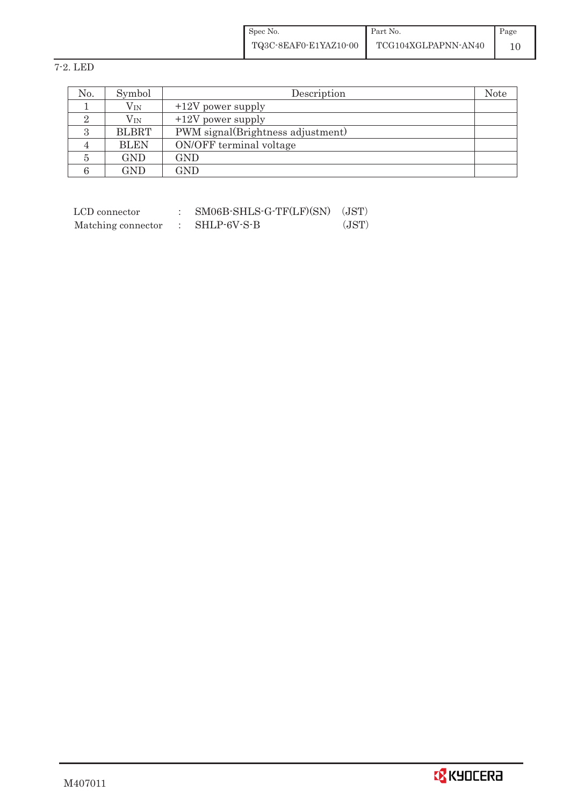| Spec No.              | Part No.            | Page |
|-----------------------|---------------------|------|
| TQ3C-8EAF0-E1YAZ10-00 | TCG104XGLPAPNN-AN40 |      |

7-2. LED

| No. | Symbol       | Description                       | Note |
|-----|--------------|-----------------------------------|------|
|     | $\rm V_{IN}$ | $+12V$ power supply               |      |
|     | $V_{\rm IN}$ | $+12V$ power supply               |      |
|     | <b>BLBRT</b> | PWM signal(Brightness adjustment) |      |
|     | <b>BLEN</b>  | ON/OFF terminal voltage           |      |
|     | GND          | GND                               |      |
|     | GND          | GND                               |      |

| LCD connector      | SM06B-SHLS-G-TF(LF)(SN) | (JST) |
|--------------------|-------------------------|-------|
| Matching connector | SHLP-6V-S-B             | (JST) |

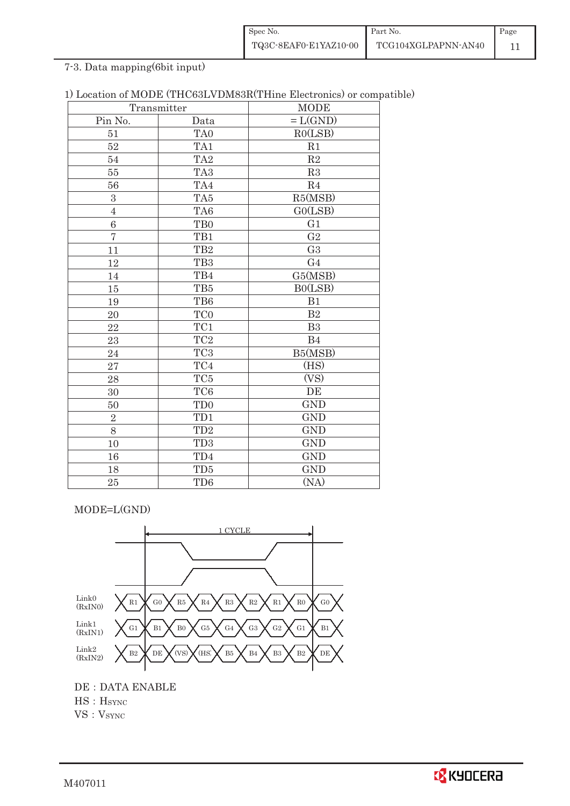| Spec No.              | Part No.            | Page |
|-----------------------|---------------------|------|
| TQ3C-8EAF0-E1YAZ10-00 | TCG104XGLPAPNN-AN40 |      |

7-3. Data mapping(6bit input)

| 1) Location of MODE (THC63LVDM83R(THine Electronics) or compatible) |  |
|---------------------------------------------------------------------|--|
|---------------------------------------------------------------------|--|

| Transmitter    |                 | <b>MODE</b>    |
|----------------|-----------------|----------------|
| Pin No.        | Data            | $=L(GND)$      |
| 51             | TA0             | RO(LSB)        |
| 52             | TA1             | R1             |
| 54             | TA <sub>2</sub> | $\mathbf{R}2$  |
| 55             | TA <sub>3</sub> | R3             |
| 56             | TA4             | R <sub>4</sub> |
| 3              | TA5             | R5(MSB)        |
| $\overline{4}$ | TA6             | GO(LSB)        |
| 6              | TB <sub>0</sub> | G1             |
| $\overline{7}$ | TB1             | G <sub>2</sub> |
| 11             | TB <sub>2</sub> | G <sub>3</sub> |
| 12             | TB <sub>3</sub> | G <sub>4</sub> |
| 14             | TB4             | G5(MSB)        |
| $15\,$         | TB5             | B0(LSB)        |
| 19             | TB6             | B1             |
| 20             | TC0             | $\mathbf{B}2$  |
| 22             | TC1             | B <sub>3</sub> |
| 23             | TC <sub>2</sub> | B <sub>4</sub> |
| 24             | TC <sub>3</sub> | B5(MSB)        |
| 27             | TC4             | (HS)           |
| 28             | TC <sub>5</sub> | (VS)           |
| 30             | TC <sub>6</sub> | DE             |
| 50             | TD <sub>0</sub> | <b>GND</b>     |
| $\overline{2}$ | TD1             | <b>GND</b>     |
| 8              | TD <sub>2</sub> | <b>GND</b>     |
| 10             | TD <sub>3</sub> | <b>GND</b>     |
| 16             | TD4             | <b>GND</b>     |
| 18             | TD5             | <b>GND</b>     |
| 25             | TD <sub>6</sub> | (NA)           |

MODE=L(GND)



DE : DATA ENABLE HS : H<sub>SYNC</sub> VS: VSYNC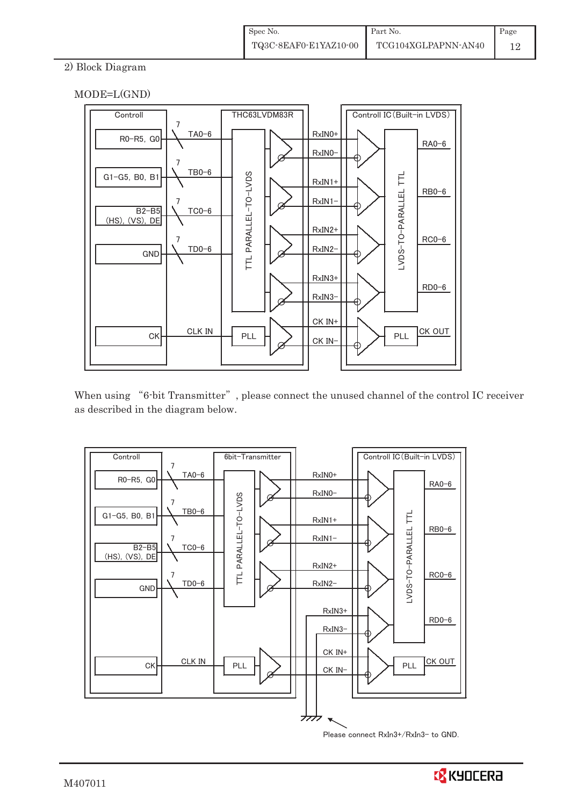### 2) Block Diagram





When using "6-bit Transmitter", please connect the unused channel of the control IC receiver as described in the diagram below.



Please connect RxIn3+/RxIn3- to GND.

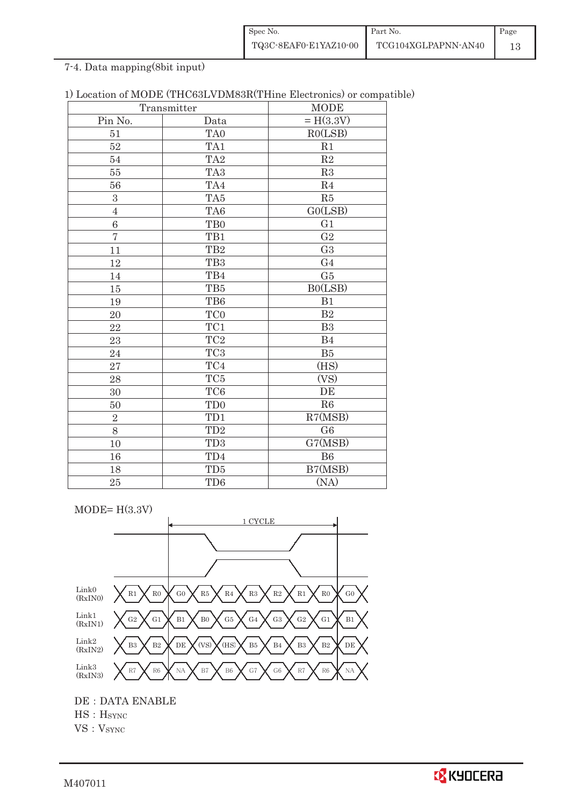| Spec No.              | Part No.            | Page |
|-----------------------|---------------------|------|
| TQ3C-8EAF0-E1YAZ10-00 | TCG104XGLPAPNN-AN40 |      |

# 7-4. Data mapping(8bit input)

| Transmitter    |                         | <b>MODE</b>    |
|----------------|-------------------------|----------------|
| Pin No.        | Data                    | $= H(3.3V)$    |
| 51             | TA <sub>0</sub>         | RO(LSB)        |
| $52\,$         | TA1                     | R1             |
| 54             | TA <sub>2</sub>         | $\mathbf{R}2$  |
| 55             | TA <sub>3</sub>         | R3             |
| 56             | TA4                     | R <sub>4</sub> |
| 3              | TA5                     | R5             |
| $\overline{4}$ | TA6                     | GO(LSB)        |
| 6              | TB <sub>0</sub>         | G1             |
| $\overline{7}$ | TB1                     | $\sqrt{G2}$    |
| 11             | TB <sub>2</sub>         | G <sub>3</sub> |
| 12             | TB <sub>3</sub>         | G <sub>4</sub> |
| 14             | TB4                     | G5             |
| 15             | TB5                     | B0(LSB)        |
| 19             | TB6                     | B1             |
| 20             | TC0                     | B <sub>2</sub> |
| 22             | $\mathrm{T}\mathrm{C}1$ | B3             |
| 23             | TC <sub>2</sub>         | B4             |
| 24             | TC <sub>3</sub>         | B5             |
| 27             | TC4                     | (HS)           |
| 28             | $\rm TC5$               | (VS)           |
| 30             | TC <sub>6</sub>         | DE             |
| 50             | TD <sub>0</sub>         | R6             |
| $\overline{2}$ | TD1                     | R7(MSB)        |
| 8              | TD <sub>2</sub>         | G6             |
| 10             | TD <sub>3</sub>         | G7(MSB)        |
| 16             | TD4                     | B6             |
| 18             | TD5                     | B7(MSB)        |
| 25             | TD <sub>6</sub>         | (NA)           |

 $MODE= H(3.3V)$ 



DE : DATA ENABLE

HS: H<sub>SYNC</sub>

VS: VSYNC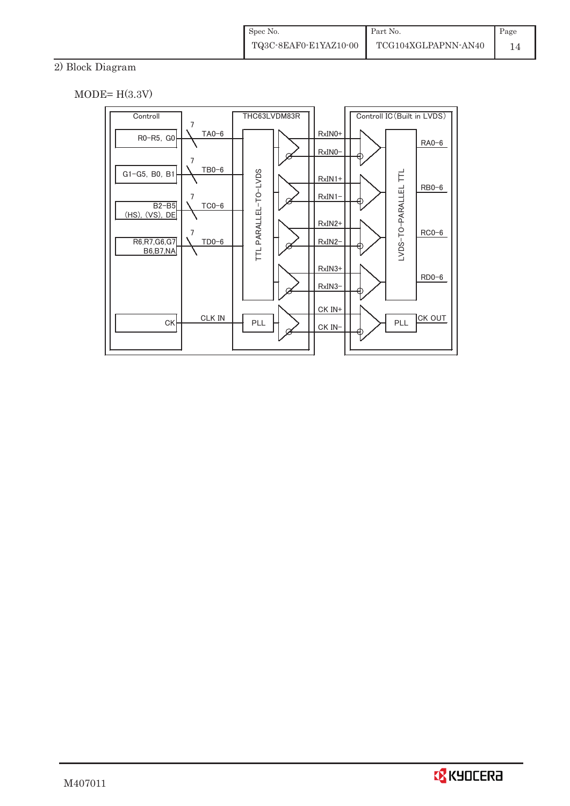# 2) Block Diagram

 $MODE= H(3.3V)$ 



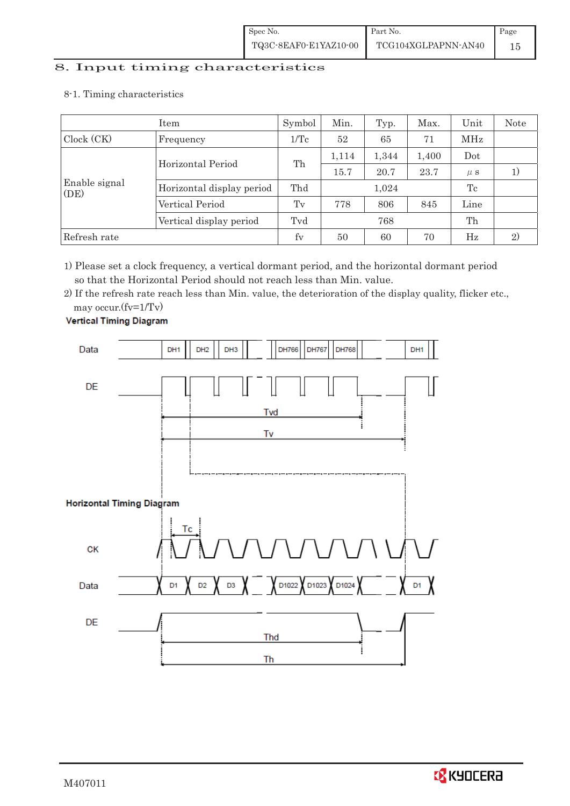# 8. Input timing characteristics  $\overline{\phantom{a}}$

8-1. Timing characteristics

|                       | Item                      | Symbol          | Min.  | Typ.  | Max.  | Unit    | Note |
|-----------------------|---------------------------|-----------------|-------|-------|-------|---------|------|
| Clock (CK)            | Frequency                 | $1/\mathrm{Tc}$ | 52    | 65    | 71    | MHz     |      |
|                       | Horizontal Period         | Th              | 1,114 | 1,344 | 1,400 | Dot     |      |
|                       |                           |                 | 15.7  | 20.7  | 23.7  | $\mu$ s |      |
| Enable signal<br>(DE) | Horizontal display period | Thd             |       | 1,024 |       | Tc      |      |
|                       | Vertical Period           | T <sub>v</sub>  | 778   | 806   | 845   | Line    |      |
|                       | Vertical display period   | Tvd             | 768   |       | Th    |         |      |
| Refresh rate          |                           | fy              | 50    | 60    | 70    | Hz      | 2)   |

1) Please set a clock frequency, a vertical dormant period, and the horizontal dormant period so that the Horizontal Period should not reach less than Min. value.

2) If the refresh rate reach less than Min. value, the deterioration of the display quality, flicker etc., may occur.(fv=1/Tv)



**Vertical Timing Diagram** 

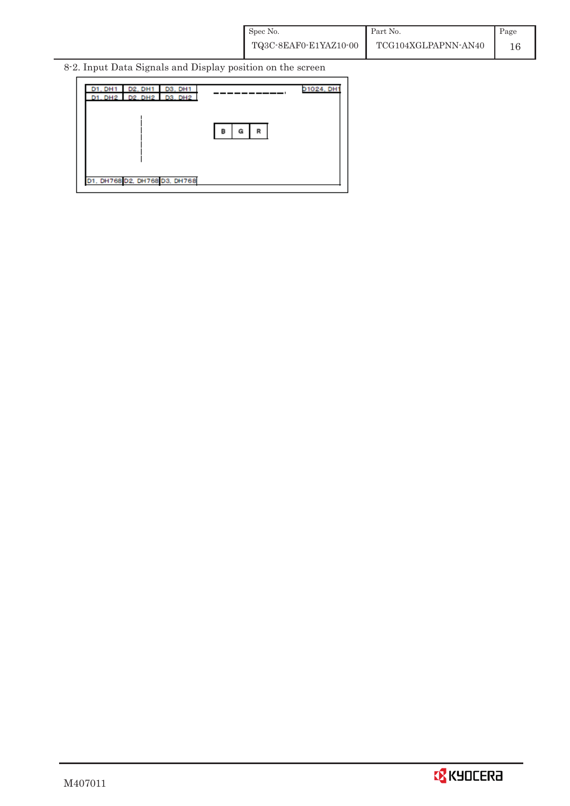8-2. Input Data Signals and Display position on the screen

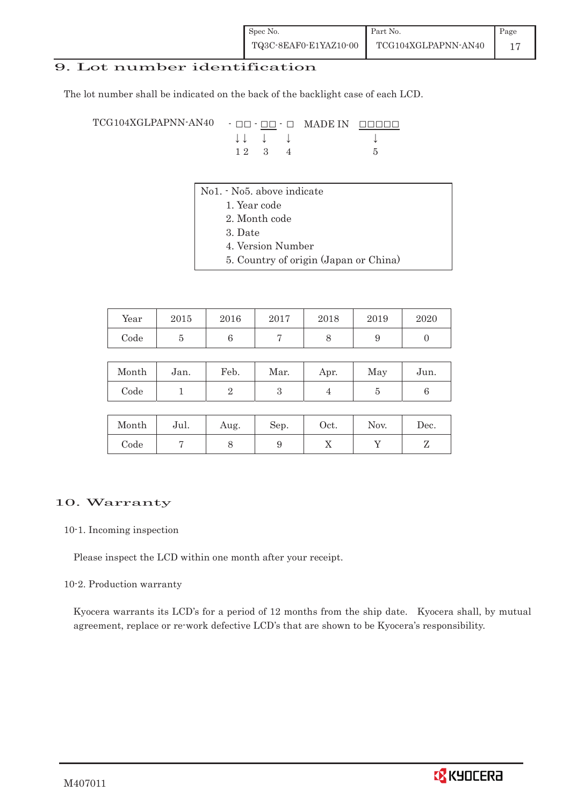## 9. Lot number identification

The lot number shall be indicated on the back of the backlight case of each LCD.

 $TCG104XGLPAPNN-AN40 - \Box\Box - \Box\Box$  MADE IN  $\Box$  $\Box$  $\Box$  $\downarrow \downarrow \quad \downarrow \quad \downarrow \qquad \qquad \downarrow$  $1 2 3 4 5$ 

- No1. No5. above indicate
	- 1. Year code
		- 2. Month code
		- 3. Date
		- 4. Version Number
		- 5. Country of origin (Japan or China)

| Year | 2015 | 2016 | 2017 | 2018 | 2019 | 2020 |
|------|------|------|------|------|------|------|
| Code |      |      |      |      |      |      |

| Month | Jan. | Feb. | Mar. | Apr. | May | Jun. |
|-------|------|------|------|------|-----|------|
| Code  |      |      |      |      |     |      |

| Month | Jul. | Aug. | Sep. | $\rm Oct.$ | Nov. | Dec. |
|-------|------|------|------|------------|------|------|
| Code  |      | U    |      | ∡⊾         |      | ╯    |

#### 10. Warranty

#### 10-1. Incoming inspection

Please inspect the LCD within one month after your receipt.

#### 10-2. Production warranty

 Kyocera warrants its LCD's for a period of 12 months from the ship date. Kyocera shall, by mutual agreement, replace or re-work defective LCD's that are shown to be Kyocera's responsibility.

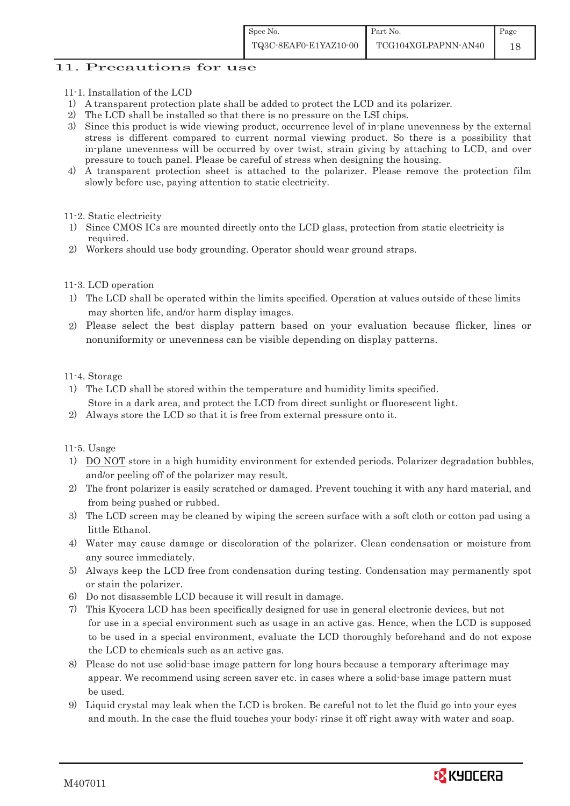#### 11. Precautions for use

- 11-1. Installation of the LCD
- 1) A transparent protection plate shall be added to protect the LCD and its polarizer.
- 2) The LCD shall be installed so that there is no pressure on the LSI chips.
- 3) Since this product is wide viewing product, occurrence level of in-plane unevenness by the external stress is different compared to current normal viewing product. So there is a possibility that in-plane unevenness will be occurred by over twist, strain giving by attaching to LCD, and over pressure to touch panel. Please be careful of stress when designing the housing.
- 4) A transparent protection sheet is attached to the polarizer. Please remove the protection film slowly before use, paying attention to static electricity.
- 11-2. Static electricity
- 1) Since CMOS ICs are mounted directly onto the LCD glass, protection from static electricity is required.
- 2) Workers should use body grounding. Operator should wear ground straps.

#### 11-3. LCD operation

- 1) The LCD shall be operated within the limits specified. Operation at values outside of these limits may shorten life, and/or harm display images.
- 2) Please select the best display pattern based on your evaluation because flicker, lines or nonuniformity or unevenness can be visible depending on display patterns.

#### 11-4. Storage

- 1) The LCD shall be stored within the temperature and humidity limits specified. Store in a dark area, and protect the LCD from direct sunlight or fluorescent light.
- 2) Always store the LCD so that it is free from external pressure onto it.

#### 11-5. Usage

- 1) DO NOT store in a high humidity environment for extended periods. Polarizer degradation bubbles, and/or peeling off of the polarizer may result.
- 2) The front polarizer is easily scratched or damaged. Prevent touching it with any hard material, and from being pushed or rubbed.
- 3) The LCD screen may be cleaned by wiping the screen surface with a soft cloth or cotton pad using a little Ethanol.
- 4) Water may cause damage or discoloration of the polarizer. Clean condensation or moisture from any source immediately.
- 5) Always keep the LCD free from condensation during testing. Condensation may permanently spot or stain the polarizer.
- 6) Do not disassemble LCD because it will result in damage.
- 7) This Kyocera LCD has been specifically designed for use in general electronic devices, but not for use in a special environment such as usage in an active gas. Hence, when the LCD is supposed to be used in a special environment, evaluate the LCD thoroughly beforehand and do not expose the LCD to chemicals such as an active gas.
- 8) Please do not use solid-base image pattern for long hours because a temporary afterimage may appear. We recommend using screen saver etc. in cases where a solid-base image pattern must be used.
- 9) Liquid crystal may leak when the LCD is broken. Be careful not to let the fluid go into your eyes and mouth. In the case the fluid touches your body; rinse it off right away with water and soap.

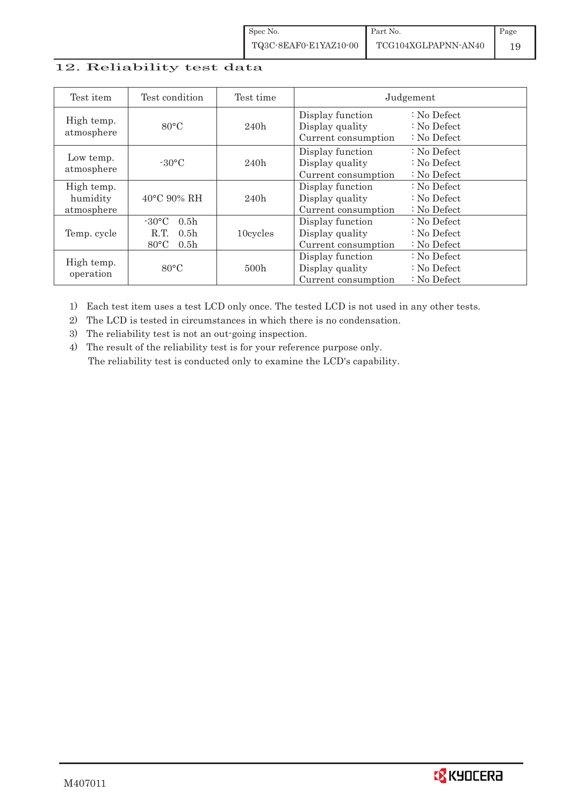#### 12. Reliability test data

| Test item                            | Test condition                                                                                        | Test time |                                                            | Judgement                                       |
|--------------------------------------|-------------------------------------------------------------------------------------------------------|-----------|------------------------------------------------------------|-------------------------------------------------|
| High temp.<br>atmosphere             | $80^{\circ}$ C                                                                                        | 240h      | Display function<br>Display quality<br>Current consumption | $: No$ Defect<br>$: No$ Defect<br>$: No$ Defect |
| Low temp.<br>atmosphere              | $-30^{\circ}$ C                                                                                       | 240h      | Display function<br>Display quality<br>Current consumption | $: No$ Defect<br>$: No$ Defect<br>$: No$ Defect |
| High temp.<br>humidity<br>atmosphere | $40^{\circ}$ C 90% RH                                                                                 | 240h      | Display function<br>Display quality<br>Current consumption | : No Defect<br>$: No$ Defect<br>$: No$ Defect   |
| Temp. cycle                          | $-30^{\circ}$ C<br>0.5 <sub>h</sub><br>0.5 <sub>h</sub><br>R.T.<br>$80^{\circ}$ C<br>0.5 <sub>h</sub> | 10cycles  | Display function<br>Display quality<br>Current consumption | $: No$ Defect<br>$: No$ Defect<br>$: No$ Defect |
| High temp.<br>operation              | $80^{\circ}$ C                                                                                        | 500h      | Display function<br>Display quality<br>Current consumption | $: No$ Defect<br>$: No$ Defect<br>$: No$ Defect |

1) Each test item uses a test LCD only once. The tested LCD is not used in any other tests.

2) The LCD is tested in circumstances in which there is no condensation.

3) The reliability test is not an out-going inspection.

4) The result of the reliability test is for your reference purpose only. The reliability test is conducted only to examine the LCD's capability.

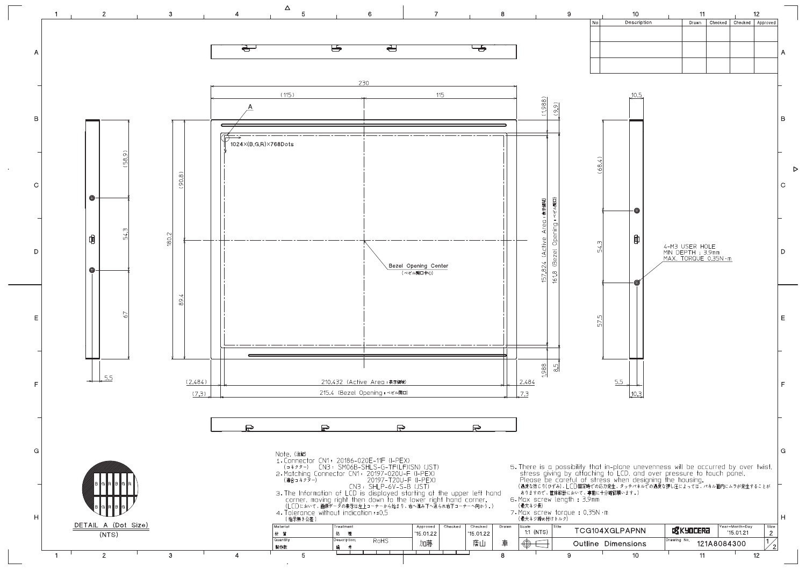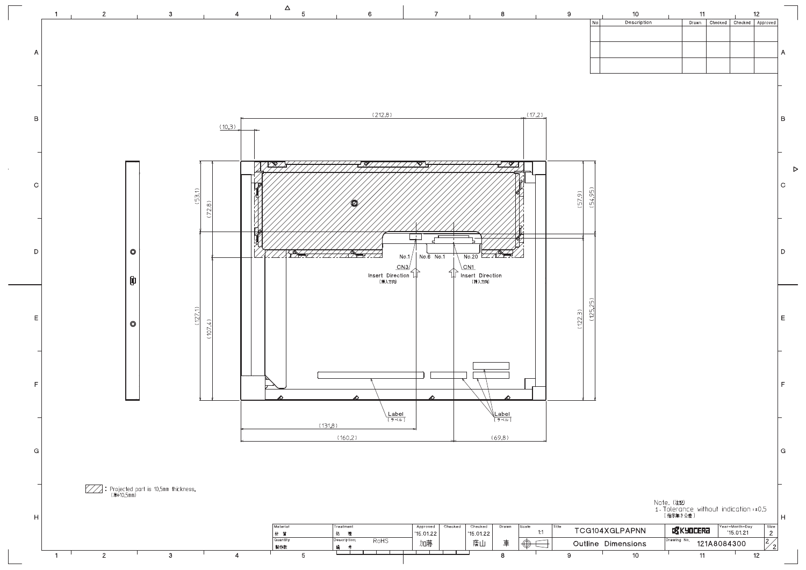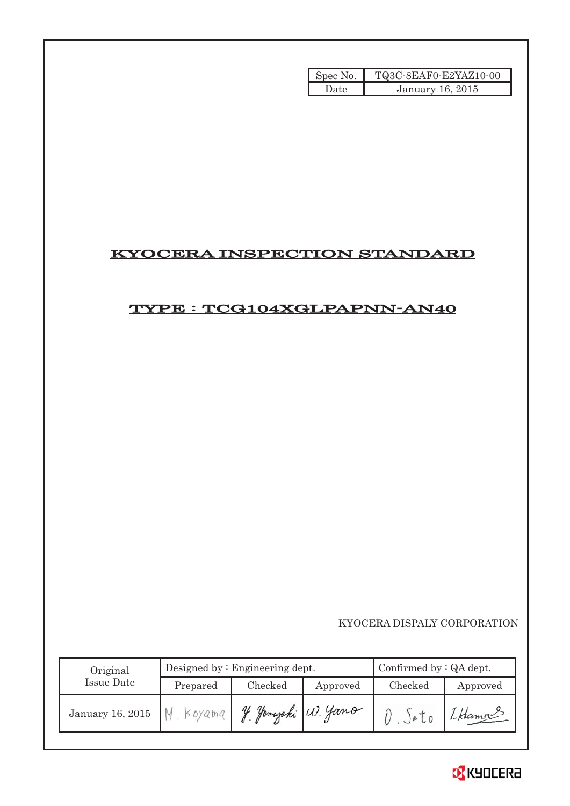| Spec No. | TQ3C-8EAF0-E2YAZ10-00   |
|----------|-------------------------|
| Date     | <b>January 16, 2015</b> |

# KYOCERA INSPECTION STANDARD

# TYPE : TCG104XGLPAPNN-AN40

KYOCERA DISPALY CORPORATION

| Original         | Designed by $:$ Engineering dept. |         |                  | Confirmed by $:QA$ dept. |              |  |
|------------------|-----------------------------------|---------|------------------|--------------------------|--------------|--|
| Issue Date       | Prepared                          | Checked | Approved         | Checked                  | Approved     |  |
| January 16, 2015 | Koyama                            |         | Jamajaki W. Yano | $J^{\alpha}$ l 0         | $1 -$ Klamge |  |

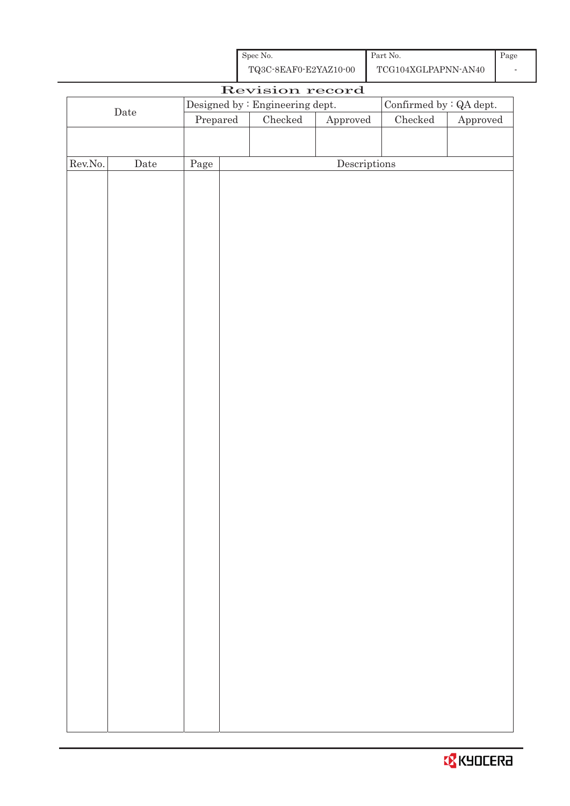| Spec No.              | Part No.            |  |
|-----------------------|---------------------|--|
| TQ3C-8EAF0-E2YAZ10-00 | TCG104XGLPAPNN-AN40 |  |

|                  |             |          | Revision record                 |                                      |                                |                        |
|------------------|-------------|----------|---------------------------------|--------------------------------------|--------------------------------|------------------------|
|                  |             |          | Designed by : Engineering dept. |                                      | Confirmed by $\colon$ QA dept. |                        |
|                  | $\rm{Date}$ | Prepared | Checked                         | Approved                             | $\rm Checked$                  | ${\Large\bf Approved}$ |
|                  |             |          |                                 |                                      |                                |                        |
|                  |             |          |                                 |                                      |                                |                        |
| ${\rm Rev. No.}$ | $\rm{Date}$ | Page     |                                 | $\label{eq:2} \textbf{Descriptions}$ |                                |                        |
|                  |             |          |                                 |                                      |                                |                        |
|                  |             |          |                                 |                                      |                                |                        |
|                  |             |          |                                 |                                      |                                |                        |
|                  |             |          |                                 |                                      |                                |                        |
|                  |             |          |                                 |                                      |                                |                        |
|                  |             |          |                                 |                                      |                                |                        |
|                  |             |          |                                 |                                      |                                |                        |
|                  |             |          |                                 |                                      |                                |                        |
|                  |             |          |                                 |                                      |                                |                        |
|                  |             |          |                                 |                                      |                                |                        |
|                  |             |          |                                 |                                      |                                |                        |
|                  |             |          |                                 |                                      |                                |                        |
|                  |             |          |                                 |                                      |                                |                        |
|                  |             |          |                                 |                                      |                                |                        |
|                  |             |          |                                 |                                      |                                |                        |
|                  |             |          |                                 |                                      |                                |                        |
|                  |             |          |                                 |                                      |                                |                        |
|                  |             |          |                                 |                                      |                                |                        |
|                  |             |          |                                 |                                      |                                |                        |
|                  |             |          |                                 |                                      |                                |                        |
|                  |             |          |                                 |                                      |                                |                        |
|                  |             |          |                                 |                                      |                                |                        |
|                  |             |          |                                 |                                      |                                |                        |
|                  |             |          |                                 |                                      |                                |                        |
|                  |             |          |                                 |                                      |                                |                        |
|                  |             |          |                                 |                                      |                                |                        |
|                  |             |          |                                 |                                      |                                |                        |
|                  |             |          |                                 |                                      |                                |                        |
|                  |             |          |                                 |                                      |                                |                        |
|                  |             |          |                                 |                                      |                                |                        |
|                  |             |          |                                 |                                      |                                |                        |
|                  |             |          |                                 |                                      |                                |                        |
|                  |             |          |                                 |                                      |                                |                        |
|                  |             |          |                                 |                                      |                                |                        |
|                  |             |          |                                 |                                      |                                |                        |
|                  |             |          |                                 |                                      |                                |                        |
|                  |             |          |                                 |                                      |                                |                        |
|                  |             |          |                                 |                                      |                                |                        |
|                  |             |          |                                 |                                      |                                |                        |

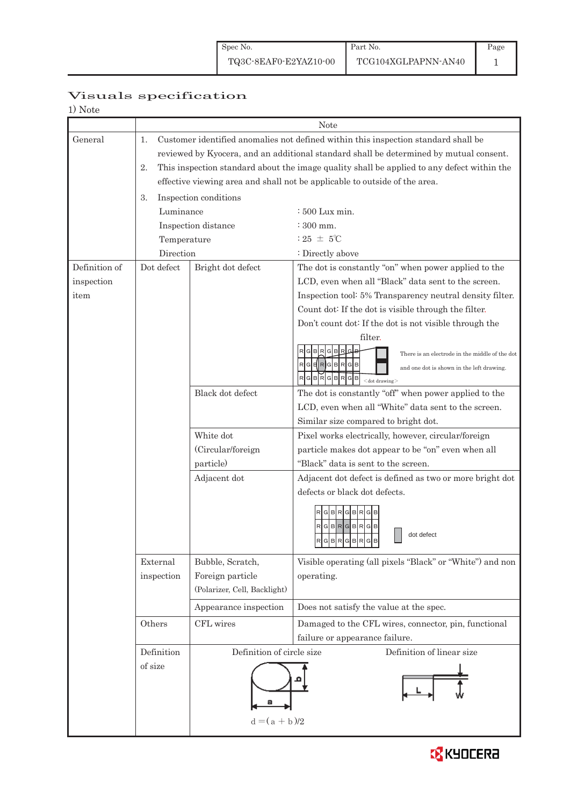# Page 1

# Visuals specification

| 'OT<br>╌ |  |
|----------|--|
|----------|--|

|               | Note            |                                                                                            |                                                                                |  |  |  |
|---------------|-----------------|--------------------------------------------------------------------------------------------|--------------------------------------------------------------------------------|--|--|--|
| General       | 1.              | Customer identified anomalies not defined within this inspection standard shall be         |                                                                                |  |  |  |
|               |                 | reviewed by Kyocera, and an additional standard shall be determined by mutual consent.     |                                                                                |  |  |  |
|               | 2.              | This inspection standard about the image quality shall be applied to any defect within the |                                                                                |  |  |  |
|               |                 |                                                                                            | effective viewing area and shall not be applicable to outside of the area.     |  |  |  |
|               | 3.              | Inspection conditions                                                                      |                                                                                |  |  |  |
|               | Luminance       |                                                                                            | : 500 Lux min.                                                                 |  |  |  |
|               |                 | Inspection distance                                                                        | $\div 300$ mm.                                                                 |  |  |  |
|               | Temperature     |                                                                                            | : 25 $\pm$ 5°C                                                                 |  |  |  |
|               | Direction       |                                                                                            | : Directly above                                                               |  |  |  |
| Definition of | Dot defect      | Bright dot defect                                                                          | The dot is constantly "on" when power applied to the                           |  |  |  |
| inspection    |                 |                                                                                            | LCD, even when all "Black" data sent to the screen.                            |  |  |  |
| item          |                 |                                                                                            | Inspection tool: 5% Transparency neutral density filter.                       |  |  |  |
|               |                 |                                                                                            | Count dot: If the dot is visible through the filter.                           |  |  |  |
|               |                 |                                                                                            | Don't count dot: If the dot is not visible through the                         |  |  |  |
|               |                 |                                                                                            | filter.                                                                        |  |  |  |
|               |                 |                                                                                            | There is an electrode in the middle of the dot                                 |  |  |  |
|               |                 |                                                                                            | $\mathsf{R}$<br>GERGBR<br>$G$ $B$<br>and one dot is shown in the left drawing. |  |  |  |
|               |                 |                                                                                            | G B<br>$<$ dot drawing $>$                                                     |  |  |  |
|               |                 | Black dot defect                                                                           | The dot is constantly "off" when power applied to the                          |  |  |  |
|               |                 |                                                                                            | LCD, even when all "White" data sent to the screen.                            |  |  |  |
|               |                 |                                                                                            | Similar size compared to bright dot.                                           |  |  |  |
|               |                 | White dot                                                                                  | Pixel works electrically, however, circular/foreign                            |  |  |  |
|               |                 | (Circular/foreign                                                                          | particle makes dot appear to be "on" even when all                             |  |  |  |
|               |                 | particle)                                                                                  | "Black" data is sent to the screen.                                            |  |  |  |
|               |                 | Adjacent dot                                                                               | Adjacent dot defect is defined as two or more bright dot                       |  |  |  |
|               |                 |                                                                                            | defects or black dot defects.                                                  |  |  |  |
|               |                 |                                                                                            | $R$ $G$ $B$ $R$ $G$ $B$ $R$ $G$                                                |  |  |  |
|               |                 |                                                                                            | $R$ G $B$ R $G$ B $R$ $G$                                                      |  |  |  |
|               |                 |                                                                                            | dot defect<br>$R$ G $B$ R $G$ B $R$<br>G<br>B                                  |  |  |  |
|               |                 |                                                                                            |                                                                                |  |  |  |
|               | External        | Bubble, Scratch,                                                                           | Visible operating (all pixels "Black" or "White") and non                      |  |  |  |
|               | inspection      | Foreign particle                                                                           | operating.                                                                     |  |  |  |
|               |                 | (Polarizer, Cell, Backlight)                                                               |                                                                                |  |  |  |
|               |                 | Appearance inspection                                                                      | Does not satisfy the value at the spec.                                        |  |  |  |
|               | Others          | CFL wires                                                                                  | Damaged to the CFL wires, connector, pin, functional                           |  |  |  |
|               |                 |                                                                                            | failure or appearance failure.                                                 |  |  |  |
|               | Definition      | Definition of circle size                                                                  | Definition of linear size                                                      |  |  |  |
|               | of size         |                                                                                            |                                                                                |  |  |  |
|               |                 |                                                                                            |                                                                                |  |  |  |
|               |                 |                                                                                            |                                                                                |  |  |  |
|               |                 |                                                                                            |                                                                                |  |  |  |
|               | $d = (a + b)/2$ |                                                                                            |                                                                                |  |  |  |